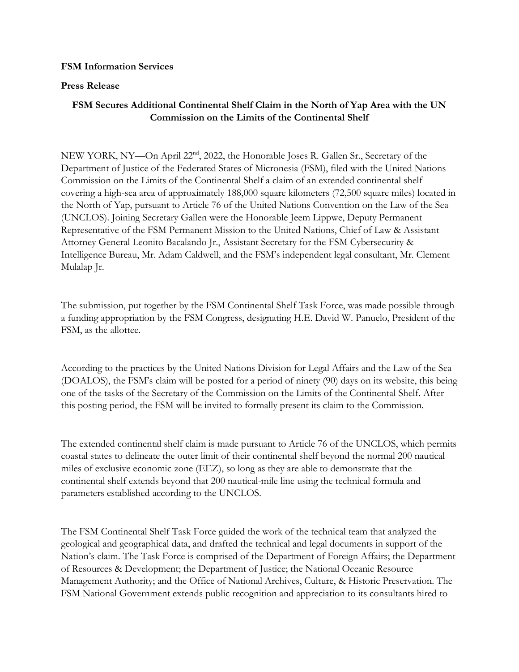## **FSM Information Services**

## **Press Release**

## **FSM Secures Additional Continental Shelf Claim in the North of Yap Area with the UN Commission on the Limits of the Continental Shelf**

NEW YORK, NY—On April 22nd, 2022, the Honorable Joses R. Gallen Sr., Secretary of the Department of Justice of the Federated States of Micronesia (FSM), filed with the United Nations Commission on the Limits of the Continental Shelf a claim of an extended continental shelf covering a high-sea area of approximately 188,000 square kilometers (72,500 square miles) located in the North of Yap, pursuant to Article 76 of the United Nations Convention on the Law of the Sea (UNCLOS). Joining Secretary Gallen were the Honorable Jeem Lippwe, Deputy Permanent Representative of the FSM Permanent Mission to the United Nations, Chief of Law & Assistant Attorney General Leonito Bacalando Jr., Assistant Secretary for the FSM Cybersecurity & Intelligence Bureau, Mr. Adam Caldwell, and the FSM's independent legal consultant, Mr. Clement Mulalap Jr.

The submission, put together by the FSM Continental Shelf Task Force, was made possible through a funding appropriation by the FSM Congress, designating H.E. David W. Panuelo, President of the FSM, as the allottee.

According to the practices by the United Nations Division for Legal Affairs and the Law of the Sea (DOALOS), the FSM's claim will be posted for a period of ninety (90) days on its website, this being one of the tasks of the Secretary of the Commission on the Limits of the Continental Shelf. After this posting period, the FSM will be invited to formally present its claim to the Commission.

The extended continental shelf claim is made pursuant to Article 76 of the UNCLOS, which permits coastal states to delineate the outer limit of their continental shelf beyond the normal 200 nautical miles of exclusive economic zone (EEZ), so long as they are able to demonstrate that the continental shelf extends beyond that 200 nautical-mile line using the technical formula and parameters established according to the UNCLOS.

The FSM Continental Shelf Task Force guided the work of the technical team that analyzed the geological and geographical data, and drafted the technical and legal documents in support of the Nation's claim. The Task Force is comprised of the Department of Foreign Affairs; the Department of Resources & Development; the Department of Justice; the National Oceanic Resource Management Authority; and the Office of National Archives, Culture, & Historic Preservation. The FSM National Government extends public recognition and appreciation to its consultants hired to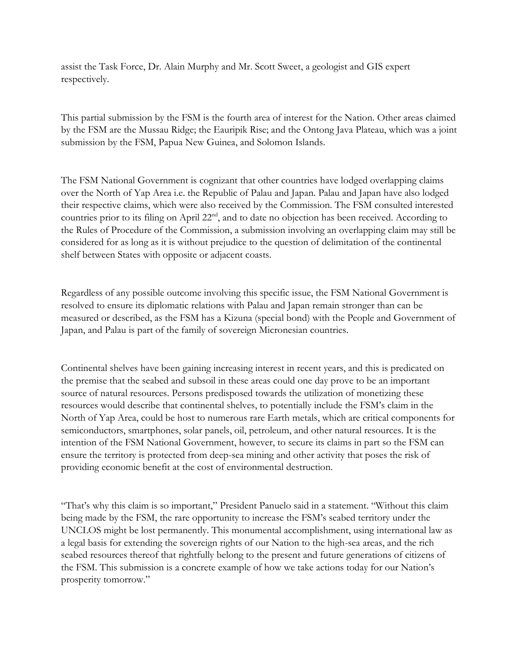assist the Task Force, Dr. Alain Murphy and Mr. Scott Sweet, a geologist and GIS expert respectively.

This partial submission by the FSM is the fourth area of interest for the Nation. Other areas claimed by the FSM are the Mussau Ridge; the Eauripik Rise; and the Ontong Java Plateau, which was a joint submission by the FSM, Papua New Guinea, and Solomon Islands.

The FSM National Government is cognizant that other countries have lodged overlapping claims over the North of Yap Area i.e. the Republic of Palau and Japan. Palau and Japan have also lodged their respective claims, which were also received by the Commission. The FSM consulted interested countries prior to its filing on April 22<sup>nd</sup>, and to date no objection has been received. According to the Rules of Procedure of the Commission, a submission involving an overlapping claim may still be considered for as long as it is without prejudice to the question of delimitation of the continental shelf between States with opposite or adjacent coasts.

Regardless of any possible outcome involving this specific issue, the FSM National Government is resolved to ensure its diplomatic relations with Palau and Japan remain stronger than can be measured or described, as the FSM has a Kizuna (special bond) with the People and Government of Japan, and Palau is part of the family of sovereign Micronesian countries.

Continental shelves have been gaining increasing interest in recent years, and this is predicated on the premise that the seabed and subsoil in these areas could one day prove to be an important source of natural resources. Persons predisposed towards the utilization of monetizing these resources would describe that continental shelves, to potentially include the FSM's claim in the North of Yap Area, could be host to numerous rare Earth metals, which are critical components for semiconductors, smartphones, solar panels, oil, petroleum, and other natural resources. It is the intention of the FSM National Government, however, to secure its claims in part so the FSM can ensure the territory is protected from deep-sea mining and other activity that poses the risk of providing economic benefit at the cost of environmental destruction.

"That's why this claim is so important," President Panuelo said in a statement. "Without this claim being made by the FSM, the rare opportunity to increase the FSM's seabed territory under the UNCLOS might be lost permanently. This monumental accomplishment, using international law as a legal basis for extending the sovereign rights of our Nation to the high-sea areas, and the rich seabed resources thereof that rightfully belong to the present and future generations of citizens of the FSM. This submission is a concrete example of how we take actions today for our Nation's prosperity tomorrow."